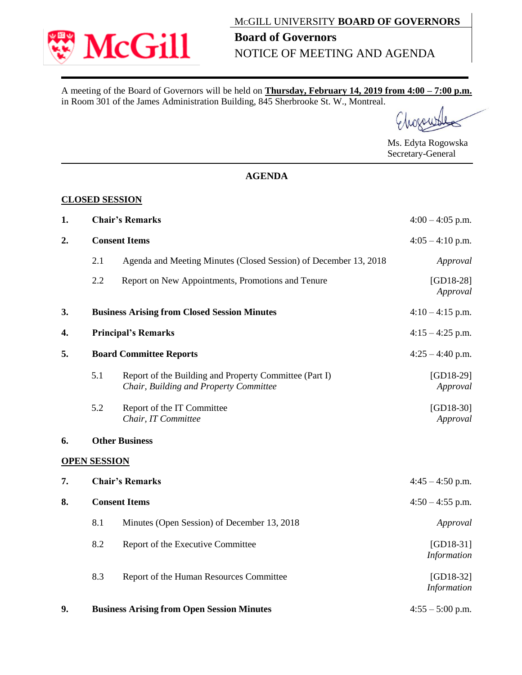

A meeting of the Board of Governors will be held on **Thursday, February 14, 2019 from 4:00 – 7:00 p.m.** in Room 301 of the James Administration Building, 845 Sherbrooke St. W., Montreal.

Ms. Edyta Rogowska Secretary-General

## **AGENDA**

## **CLOSED SESSION**

| 1. | <b>Chair's Remarks</b>                            |                                                                                                  | $4:00 - 4:05$ p.m.         |  |
|----|---------------------------------------------------|--------------------------------------------------------------------------------------------------|----------------------------|--|
| 2. | <b>Consent Items</b>                              |                                                                                                  | $4:05 - 4:10$ p.m.         |  |
|    | 2.1                                               | Agenda and Meeting Minutes (Closed Session) of December 13, 2018                                 | Approval                   |  |
|    | 2.2                                               | Report on New Appointments, Promotions and Tenure                                                | $[GD18-28]$<br>Approval    |  |
| 3. |                                                   | <b>Business Arising from Closed Session Minutes</b>                                              | $4:10 - 4:15$ p.m.         |  |
| 4. | <b>Principal's Remarks</b>                        |                                                                                                  | $4:15 - 4:25$ p.m.         |  |
| 5. | <b>Board Committee Reports</b>                    |                                                                                                  | $4:25 - 4:40$ p.m.         |  |
|    | 5.1                                               | Report of the Building and Property Committee (Part I)<br>Chair, Building and Property Committee | $[GD18-29]$<br>Approval    |  |
|    | 5.2                                               | Report of the IT Committee<br>Chair, IT Committee                                                | $[GD18-30]$<br>Approval    |  |
| 6. |                                                   | <b>Other Business</b>                                                                            |                            |  |
|    | <b>OPEN SESSION</b>                               |                                                                                                  |                            |  |
| 7. | <b>Chair's Remarks</b>                            |                                                                                                  | $4:45 - 4:50$ p.m.         |  |
| 8. | <b>Consent Items</b>                              |                                                                                                  | $4:50 - 4:55$ p.m.         |  |
|    | 8.1                                               | Minutes (Open Session) of December 13, 2018                                                      | Approval                   |  |
|    | 8.2                                               | Report of the Executive Committee                                                                | $[GD18-31]$<br>Information |  |
|    | 8.3                                               | Report of the Human Resources Committee                                                          | $[GD18-32]$<br>Information |  |
| 9. | <b>Business Arising from Open Session Minutes</b> |                                                                                                  | $4:55 - 5:00$ p.m.         |  |